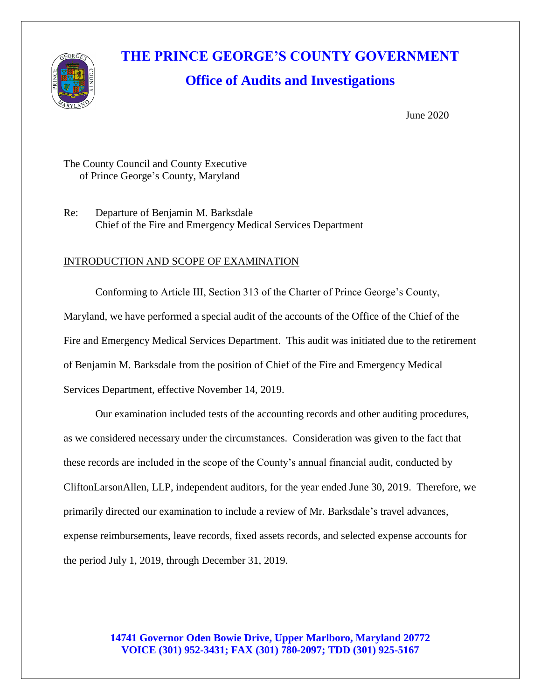

# **THE PRINCE GEORGE'S COUNTY GOVERNMENT**

## **Office of Audits and Investigations**

June 2020

The County Council and County Executive of Prince George's County, Maryland

Re: Departure of Benjamin M. Barksdale Chief of the Fire and Emergency Medical Services Department

#### INTRODUCTION AND SCOPE OF EXAMINATION

Conforming to Article III, Section 313 of the Charter of Prince George's County, Maryland, we have performed a special audit of the accounts of the Office of the Chief of the Fire and Emergency Medical Services Department. This audit was initiated due to the retirement of Benjamin M. Barksdale from the position of Chief of the Fire and Emergency Medical Services Department, effective November 14, 2019.

Our examination included tests of the accounting records and other auditing procedures, as we considered necessary under the circumstances. Consideration was given to the fact that these records are included in the scope of the County's annual financial audit, conducted by CliftonLarsonAllen, LLP, independent auditors, for the year ended June 30, 2019. Therefore, we primarily directed our examination to include a review of Mr. Barksdale's travel advances, expense reimbursements, leave records, fixed assets records, and selected expense accounts for the period July 1, 2019, through December 31, 2019.

#### **14741 Governor Oden Bowie Drive, Upper Marlboro, Maryland 20772 VOICE (301) 952-3431; FAX (301) 780-2097; TDD (301) 925-5167**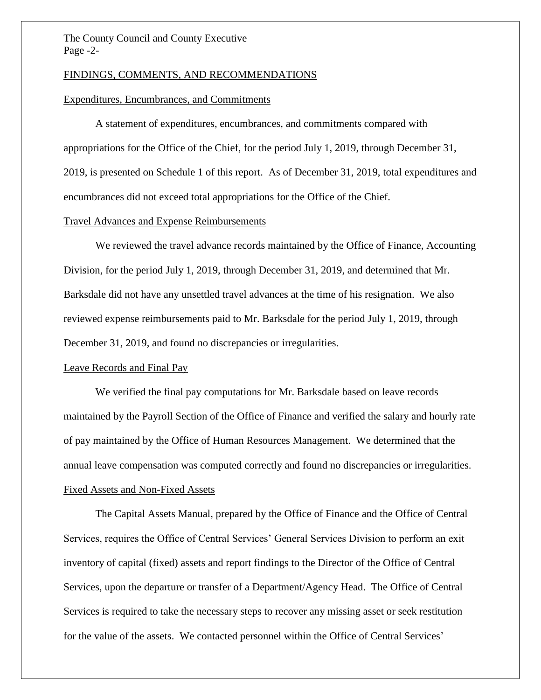#### The County Council and County Executive Page -2-

#### FINDINGS, COMMENTS, AND RECOMMENDATIONS

#### Expenditures, Encumbrances, and Commitments

A statement of expenditures, encumbrances, and commitments compared with appropriations for the Office of the Chief, for the period July 1, 2019, through December 31, 2019, is presented on Schedule 1 of this report. As of December 31, 2019, total expenditures and encumbrances did not exceed total appropriations for the Office of the Chief.

#### Travel Advances and Expense Reimbursements

We reviewed the travel advance records maintained by the Office of Finance, Accounting Division, for the period July 1, 2019, through December 31, 2019, and determined that Mr. Barksdale did not have any unsettled travel advances at the time of his resignation. We also reviewed expense reimbursements paid to Mr. Barksdale for the period July 1, 2019, through December 31, 2019, and found no discrepancies or irregularities.

#### Leave Records and Final Pay

We verified the final pay computations for Mr. Barksdale based on leave records maintained by the Payroll Section of the Office of Finance and verified the salary and hourly rate of pay maintained by the Office of Human Resources Management. We determined that the annual leave compensation was computed correctly and found no discrepancies or irregularities. Fixed Assets and Non-Fixed Assets

The Capital Assets Manual, prepared by the Office of Finance and the Office of Central Services, requires the Office of Central Services' General Services Division to perform an exit inventory of capital (fixed) assets and report findings to the Director of the Office of Central Services, upon the departure or transfer of a Department/Agency Head. The Office of Central Services is required to take the necessary steps to recover any missing asset or seek restitution for the value of the assets. We contacted personnel within the Office of Central Services'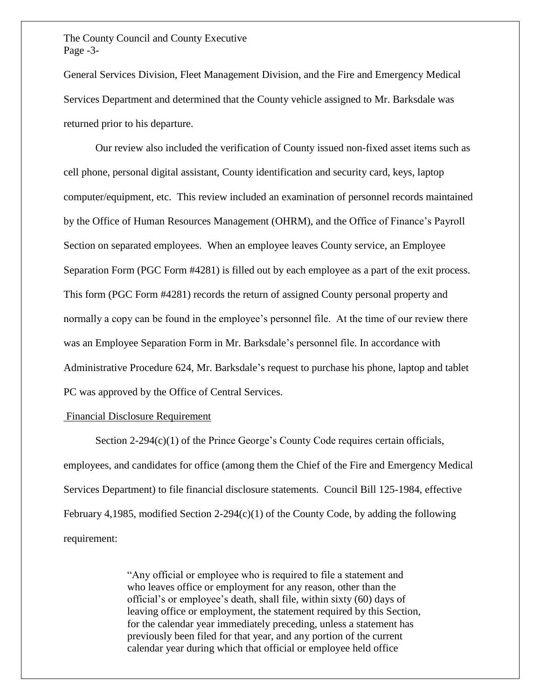The County Council and County Executive Page -3-

General Services Division, Fleet Management Division, and the Fire and Emergency Medical Services Department and determined that the County vehicle assigned to Mr. Barksdale was returned prior to his departure.

Our review also included the verification of County issued non-fixed asset items such as cell phone, personal digital assistant, County identification and security card, keys, laptop computer/equipment, etc. This review included an examination of personnel records maintained by the Office of Human Resources Management (OHRM), and the Office of Finance's Payroll Section on separated employees. When an employee leaves County service, an Employee Separation Form (PGC Form #4281) is filled out by each employee as a part of the exit process. This form (PGC Form #4281) records the return of assigned County personal property and normally a copy can be found in the employee's personnel file. At the time of our review there was an Employee Separation Form in Mr. Barksdale's personnel file. In accordance with Administrative Procedure 624, Mr. Barksdale's request to purchase his phone, laptop and tablet PC was approved by the Office of Central Services.

#### Financial Disclosure Requirement

Section 2-294(c)(1) of the Prince George's County Code requires certain officials, employees, and candidates for office (among them the Chief of the Fire and Emergency Medical Services Department) to file financial disclosure statements. Council Bill 125-1984, effective February 4,1985, modified Section 2-294(c)(1) of the County Code, by adding the following requirement:

> "Any official or employee who is required to file a statement and who leaves office or employment for any reason, other than the official's or employee's death, shall file, within sixty (60) days of leaving office or employment, the statement required by this Section, for the calendar year immediately preceding, unless a statement has previously been filed for that year, and any portion of the current calendar year during which that official or employee held office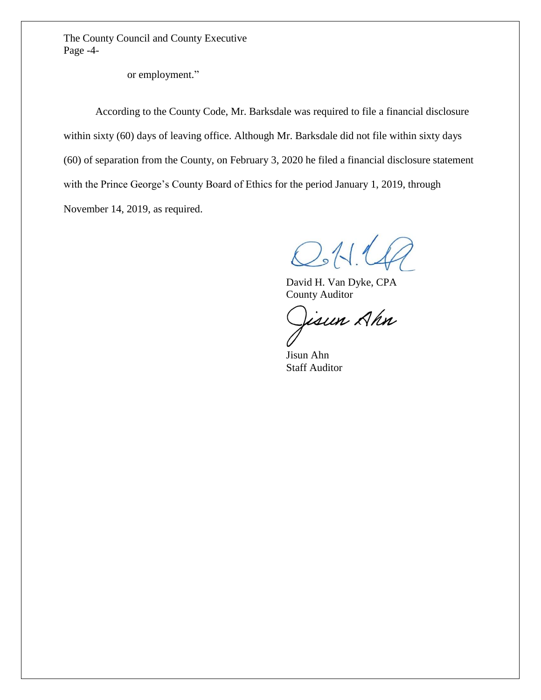The County Council and County Executive Page -4-

or employment."

According to the County Code, Mr. Barksdale was required to file a financial disclosure within sixty (60) days of leaving office. Although Mr. Barksdale did not file within sixty days (60) of separation from the County, on February 3, 2020 he filed a financial disclosure statement with the Prince George's County Board of Ethics for the period January 1, 2019, through November 14, 2019, as required.

 $O:11$ 

David H. Van Dyke, CPA County Auditor

isun Ahn

Jisun Ahn Staff Auditor